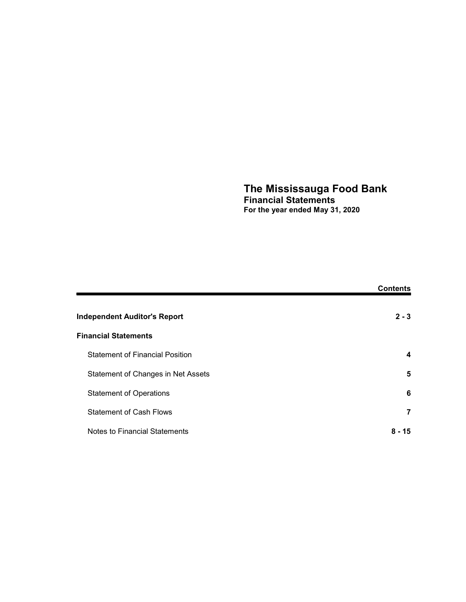## The Mississauga Food Bank Financial Statements<br>For the year ended May 31, 2020

|                                        | <b>Contents</b> |
|----------------------------------------|-----------------|
| <b>Independent Auditor's Report</b>    | $2 - 3$         |
| <b>Financial Statements</b>            |                 |
| <b>Statement of Financial Position</b> | 4               |
| Statement of Changes in Net Assets     | 5               |
| <b>Statement of Operations</b>         | 6               |
| <b>Statement of Cash Flows</b>         | 7               |
| Notes to Financial Statements          | - 15<br>8       |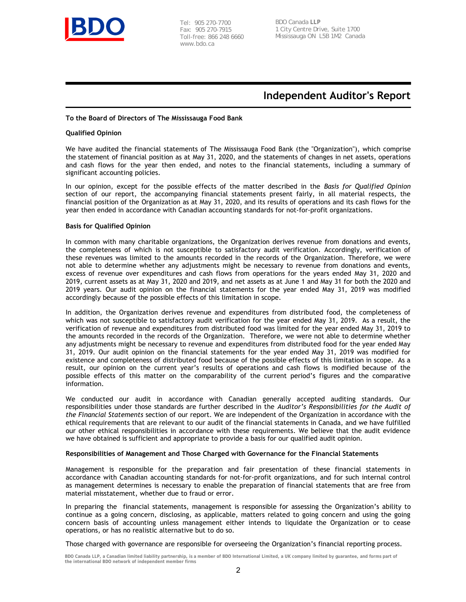

Tel: 905 270-7700 Fax: 905 270-7915 Toll-free: 866 248 6660 www.bdo.ca

BDO Canada LLP 1 City Centre Drive, Suite 1700 Mississauga ON L5B 1M2 Canada

## **Independent Auditor's Report**

#### To the Board of Directors of The Mississauga Food Bank

#### **Qualified Opinion**

We have audited the financial statements of The Mississauga Food Bank (the "Organization"), which comprise the statement of financial position as at May 31, 2020, and the statements of changes in net assets, operations and cash flows for the year then ended, and notes to the financial statements, including a summary of significant accounting policies.

In our opinion, except for the possible effects of the matter described in the Basis for Qualified Opinion section of our report, the accompanying financial statements present fairly, in all material respects, the financial position of the Organization as at May 31, 2020, and its results of operations and its cash flows for the year then ended in accordance with Canadian accounting standards for not-for-profit organizations.

#### **Basis for Qualified Opinion**

In common with many charitable organizations, the Organization derives revenue from donations and events, the completeness of which is not susceptible to satisfactory audit verification. Accordingly, verification of these revenues was limited to the amounts recorded in the records of the Organization. Therefore, we were not able to determine whether any adjustments might be necessary to revenue from donations and events, excess of revenue over expenditures and cash flows from operations for the years ended May 31, 2020 and 2019, current assets as at May 31, 2020 and 2019, and net assets as at June 1 and May 31 for both the 2020 and 2019 years. Our audit opinion on the financial statements for the year ended May 31, 2019 was modified accordingly because of the possible effects of this limitation in scope.

In addition, the Organization derives revenue and expenditures from distributed food, the completeness of which was not susceptible to satisfactory audit verification for the year ended May 31, 2019. As a result, the verification of revenue and expenditures from distributed food was limited for the year ended May 31, 2019 to the amounts recorded in the records of the Organization. Therefore, we were not able to determine whether any adjustments might be necessary to revenue and expenditures from distributed food for the year ended May 31, 2019. Our audit opinion on the financial statements for the year ended May 31, 2019 was modified for existence and completeness of distributed food because of the possible effects of this limitation in scope. As a result, our opinion on the current year's results of operations and cash flows is modified because of the possible effects of this matter on the comparability of the current period's figures and the comparative information.

We conducted our audit in accordance with Canadian generally accepted auditing standards. Our responsibilities under those standards are further described in the Auditor's Responsibilities for the Audit of the Financial Statements section of our report. We are independent of the Organization in accordance with the ethical requirements that are relevant to our audit of the financial statements in Canada, and we have fulfilled our other ethical responsibilities in accordance with these requirements. We believe that the audit evidence we have obtained is sufficient and appropriate to provide a basis for our qualified audit opinion.

#### Responsibilities of Management and Those Charged with Governance for the Financial Statements

Management is responsible for the preparation and fair presentation of these financial statements in accordance with Canadian accounting standards for not-for-profit organizations, and for such internal control as management determines is necessary to enable the preparation of financial statements that are free from material misstatement, whether due to fraud or error.

In preparing the financial statements, management is responsible for assessing the Organization's ability to continue as a going concern, disclosing, as applicable, matters related to going concern and using the going concern basis of accounting unless management either intends to liquidate the Organization or to cease operations, or has no realistic alternative but to do so.

Those charged with governance are responsible for overseeing the Organization's financial reporting process.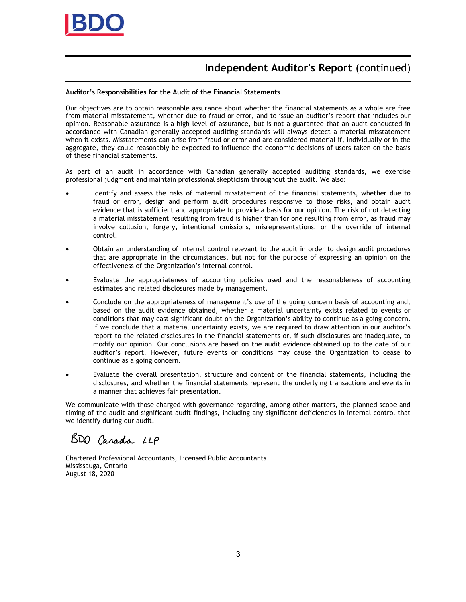

## Independent Auditor's Report (continued)

#### Auditor's Responsibilities for the Audit of the Financial Statements

Our objectives are to obtain reasonable assurance about whether the financial statements as a whole are free from material misstatement, whether due to fraud or error, and to issue an auditor's report that includes our opinion. Reasonable assurance is a high level of assurance, but is not a guarantee that an audit conducted in accordance with Canadian generally accepted auditing standards will always detect a material misstatement when it exists. Misstatements can arise from fraud or error and are considered material if, individually or in the aggregate, they could reasonably be expected to influence the economic decisions of users taken on the basis of these financial statements.

As part of an audit in accordance with Canadian generally accepted auditing standards, we exercise professional judgment and maintain professional skepticism throughout the audit. We also:

- Identify and assess the risks of material misstatement of the financial statements, whether due to fraud or error, design and perform audit procedures responsive to those risks, and obtain audit evidence that is sufficient and appropriate to provide a basis for our opinion. The risk of not detecting a material misstatement resulting from fraud is higher than for one resulting from error, as fraud may involve collusion, forgery, intentional omissions, misrepresentations, or the override of internal control.
- Obtain an understanding of internal control relevant to the audit in order to design audit procedures that are appropriate in the circumstances, but not for the purpose of expressing an opinion on the effectiveness of the Organization's internal control.
- Evaluate the appropriateness of accounting policies used and the reasonableness of accounting estimates and related disclosures made by management.
- Conclude on the appropriateness of management's use of the going concern basis of accounting and, based on the audit evidence obtained, whether a material uncertainty exists related to events or conditions that may cast significant doubt on the Organization's ability to continue as a going concern. If we conclude that a material uncertainty exists, we are required to draw attention in our auditor's report to the related disclosures in the financial statements or, if such disclosures are inadequate, to modify our opinion. Our conclusions are based on the audit evidence obtained up to the date of our auditor's report. However, future events or conditions may cause the Organization to cease to continue as a going concern.
- Evaluate the overall presentation, structure and content of the financial statements, including the  $\bullet$ disclosures, and whether the financial statements represent the underlying transactions and events in a manner that achieves fair presentation.

We communicate with those charged with governance regarding, among other matters, the planned scope and timing of the audit and significant audit findings, including any significant deficiencies in internal control that we identify during our audit.

## BDO Canada LLP

Chartered Professional Accountants, Licensed Public Accountants Mississauga, Ontario August 18, 2020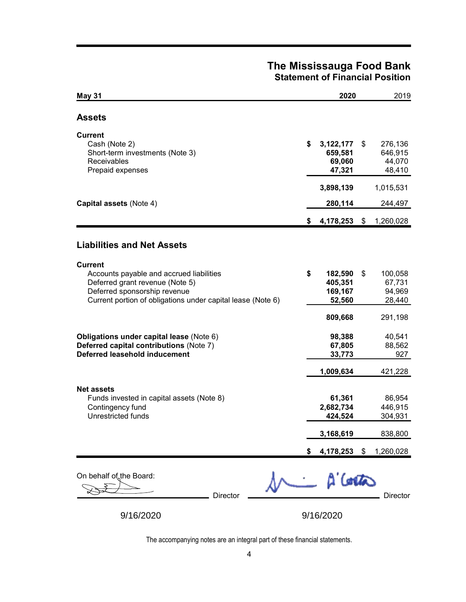## The Mississauga Food Bank Statement of Financial Position

| <b>May 31</b>                                                                                                                                                                                | 2020 |                                                    | 2019 |                                                  |
|----------------------------------------------------------------------------------------------------------------------------------------------------------------------------------------------|------|----------------------------------------------------|------|--------------------------------------------------|
| <b>Assets</b>                                                                                                                                                                                |      |                                                    |      |                                                  |
| <b>Current</b><br>Cash (Note 2)<br>Short-term investments (Note 3)<br><b>Receivables</b><br>Prepaid expenses                                                                                 | \$   | 3,122,177<br>659,581<br>69,060<br>47,321           | \$   | 276,136<br>646,915<br>44,070<br>48,410           |
|                                                                                                                                                                                              |      | 3,898,139                                          |      | 1,015,531                                        |
| Capital assets (Note 4)                                                                                                                                                                      |      | 280,114                                            |      | 244,497                                          |
|                                                                                                                                                                                              | \$   | 4,178,253 \$                                       |      | 1,260,028                                        |
| <b>Liabilities and Net Assets</b>                                                                                                                                                            |      |                                                    |      |                                                  |
| <b>Current</b><br>Accounts payable and accrued liabilities<br>Deferred grant revenue (Note 5)<br>Deferred sponsorship revenue<br>Current portion of obligations under capital lease (Note 6) | \$   | 182,590<br>405,351<br>169,167<br>52,560<br>809,668 | \$   | 100,058<br>67,731<br>94,969<br>28,440<br>291,198 |
| <b>Obligations under capital lease (Note 6)</b><br>Deferred capital contributions (Note 7)<br><b>Deferred leasehold inducement</b>                                                           |      | 98,388<br>67,805<br>33,773                         |      | 40,541<br>88,562<br>927                          |
|                                                                                                                                                                                              |      | 1,009,634                                          |      | 421,228                                          |
| <b>Net assets</b><br>Funds invested in capital assets (Note 8)<br>Contingency fund<br><b>Unrestricted funds</b>                                                                              |      | 61,361<br>2,682,734<br>424,524                     |      | 86,954<br>446,915<br>304,931                     |
|                                                                                                                                                                                              |      | 3,168,619                                          |      | 838,800                                          |
|                                                                                                                                                                                              | \$   | 4,178,253                                          | \$   | 1,260,028                                        |
| On behalf of the Board:<br><b>Director</b>                                                                                                                                                   |      | A' Corta                                           |      | <b>Director</b>                                  |
| 9/16/2020                                                                                                                                                                                    |      | 9/16/2020                                          |      |                                                  |

The accompanying notes are an integral part of these financial statements.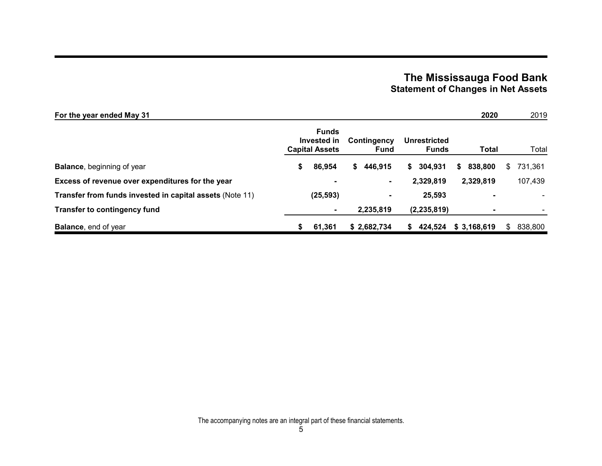# The Mississauga Food Bank<br>Statement of Changes in Net Assets

| For the year ended May 31                                |                       |                             |                            |    |                                     | 2020          |    | 2019    |
|----------------------------------------------------------|-----------------------|-----------------------------|----------------------------|----|-------------------------------------|---------------|----|---------|
|                                                          | <b>Capital Assets</b> | <b>Funds</b><br>Invested in | Contingency<br><b>Fund</b> |    | <b>Unrestricted</b><br><b>Funds</b> | <b>Total</b>  |    | Total   |
| <b>Balance, beginning of year</b>                        | S                     | 86,954                      | 446.915<br>S.              |    | \$304,931                           | 838,800<br>S. | S. | 731,361 |
| Excess of revenue over expenditures for the year         |                       | $\blacksquare$              | $\sim$                     |    | 2,329,819                           | 2,329,819     |    | 107,439 |
| Transfer from funds invested in capital assets (Note 11) |                       | (25, 593)                   | ۰.                         |    | 25,593                              | -             |    |         |
| <b>Transfer to contingency fund</b>                      |                       | ٠                           | 2,235,819                  |    | (2, 235, 819)                       |               |    |         |
| <b>Balance, end of year</b>                              | S                     | 61,361                      | \$2,682,734                | S. | 424.524                             | \$3,168,619   | S. | 838,800 |

The accompanying notes are an integral part of these financial statements.<br>5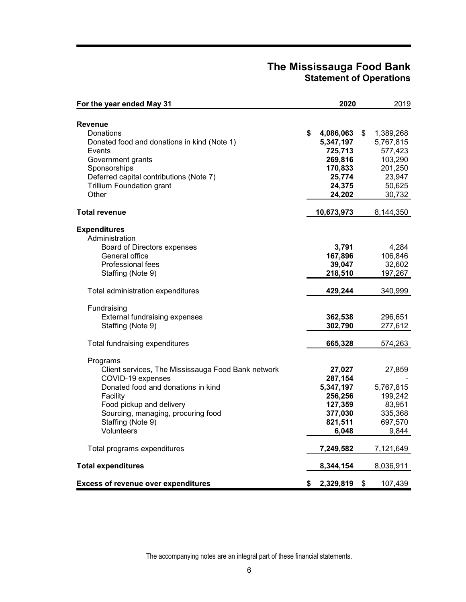# The Mississauga Food Bank<br>Statement of Operations

| For the year ended May 31                                                                                                                                                                                                                  | 2020 |                                                                                       |    | 2019                                                                                  |
|--------------------------------------------------------------------------------------------------------------------------------------------------------------------------------------------------------------------------------------------|------|---------------------------------------------------------------------------------------|----|---------------------------------------------------------------------------------------|
| <b>Revenue</b><br>Donations<br>Donated food and donations in kind (Note 1)<br>Events<br>Government grants<br>Sponsorships<br>Deferred capital contributions (Note 7)<br><b>Trillium Foundation grant</b><br>Other                          | \$   | 4,086,063<br>5,347,197<br>725,713<br>269,816<br>170,833<br>25,774<br>24,375<br>24,202 | \$ | 1,389,268<br>5,767,815<br>577,423<br>103,290<br>201,250<br>23,947<br>50,625<br>30,732 |
| <b>Total revenue</b>                                                                                                                                                                                                                       |      | 10,673,973                                                                            |    | 8,144,350                                                                             |
| <b>Expenditures</b><br>Administration<br>Board of Directors expenses<br>General office<br>Professional fees<br>Staffing (Note 9)                                                                                                           |      | 3,791<br>167,896<br>39,047<br>218,510                                                 |    | 4,284<br>106,846<br>32,602<br>197,267                                                 |
| Total administration expenditures                                                                                                                                                                                                          |      | 429,244                                                                               |    | 340,999                                                                               |
| Fundraising<br><b>External fundraising expenses</b><br>Staffing (Note 9)<br>Total fundraising expenditures                                                                                                                                 |      | 362,538<br>302,790<br>665,328                                                         |    | 296,651<br>277,612<br>574,263                                                         |
| Programs<br>Client services, The Mississauga Food Bank network<br>COVID-19 expenses<br>Donated food and donations in kind<br>Facility<br>Food pickup and delivery<br>Sourcing, managing, procuring food<br>Staffing (Note 9)<br>Volunteers |      | 27,027<br>287,154<br>5,347,197<br>256,256<br>127,359<br>377,030<br>821,511<br>6,048   |    | 27,859<br>5,767,815<br>199,242<br>83,951<br>335,368<br>697,570<br>9,844               |
| Total programs expenditures                                                                                                                                                                                                                |      | 7,249,582                                                                             |    | 7,121,649                                                                             |
| <b>Total expenditures</b>                                                                                                                                                                                                                  |      | 8,344,154                                                                             |    | 8,036,911                                                                             |
| <b>Excess of revenue over expenditures</b>                                                                                                                                                                                                 | \$   | 2,329,819                                                                             | \$ | 107,439                                                                               |

The accompanying notes are an integral part of these financial statements.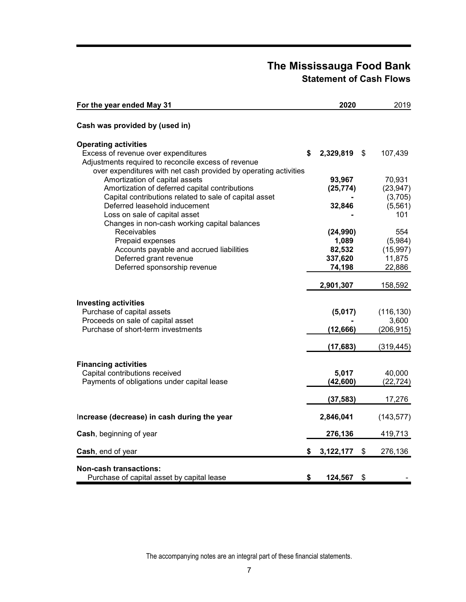## The Mississauga Food Bank **Statement of Cash Flows**

| For the year ended May 31                                               | 2020                  | 2019       |  |
|-------------------------------------------------------------------------|-----------------------|------------|--|
| Cash was provided by (used in)                                          |                       |            |  |
| <b>Operating activities</b>                                             |                       |            |  |
| Excess of revenue over expenditures                                     | \$<br>2,329,819<br>\$ | 107,439    |  |
| Adjustments required to reconcile excess of revenue                     |                       |            |  |
| over expenditures with net cash provided by operating activities        |                       |            |  |
| Amortization of capital assets                                          | 93,967                | 70,931     |  |
| Amortization of deferred capital contributions                          | (25, 774)             | (23, 947)  |  |
| Capital contributions related to sale of capital asset                  |                       | (3,705)    |  |
| Deferred leasehold inducement                                           | 32,846                | (5, 561)   |  |
| Loss on sale of capital asset                                           |                       | 101        |  |
| Changes in non-cash working capital balances                            |                       |            |  |
| <b>Receivables</b>                                                      | (24, 990)             | 554        |  |
| Prepaid expenses                                                        | 1,089                 | (5,984)    |  |
| Accounts payable and accrued liabilities                                | 82,532                | (15, 997)  |  |
| Deferred grant revenue                                                  | 337,620               | 11,875     |  |
| Deferred sponsorship revenue                                            | 74,198                | 22,886     |  |
|                                                                         | 2,901,307             | 158,592    |  |
|                                                                         |                       |            |  |
| <b>Investing activities</b>                                             |                       |            |  |
| Purchase of capital assets                                              | (5,017)               | (116, 130) |  |
| Proceeds on sale of capital asset<br>Purchase of short-term investments |                       | 3,600      |  |
|                                                                         | (12, 666)             | (206, 915) |  |
|                                                                         | (17, 683)             | (319, 445) |  |
| <b>Financing activities</b>                                             |                       |            |  |
| Capital contributions received                                          | 5,017                 | 40,000     |  |
| Payments of obligations under capital lease                             | (42, 600)             | (22, 724)  |  |
|                                                                         |                       |            |  |
|                                                                         | (37, 583)             | 17,276     |  |
| Increase (decrease) in cash during the year                             | 2,846,041             | (143, 577) |  |
| Cash, beginning of year                                                 | 276,136               | 419,713    |  |
| Cash, end of year                                                       | \$<br>3,122,177<br>\$ | 276,136    |  |
|                                                                         |                       |            |  |
| <b>Non-cash transactions:</b>                                           |                       |            |  |
| Purchase of capital asset by capital lease                              | \$<br>\$<br>124.567   |            |  |

The accompanying notes are an integral part of these financial statements.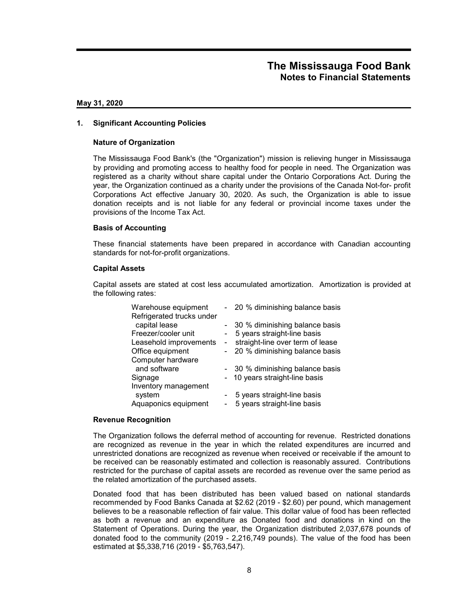#### May 31, 2020

#### 1. Significant Accounting Policies

#### **Nature of Organization**

The Mississauga Food Bank's (the "Organization") mission is relieving hunger in Mississauga by providing and promoting access to healthy food for people in need. The Organization was registered as a charity without share capital under the Ontario Corporations Act. During the year, the Organization continued as a charity under the provisions of the Canada Not-for- profit Corporations Act effective January 30, 2020. As such, the Organization is able to issue donation receipts and is not liable for any federal or provincial income taxes under the provisions of the Income Tax Act.

#### **Basis of Accounting**

These financial statements have been prepared in accordance with Canadian accounting standards for not-for-profit organizations.

#### **Capital Assets**

Capital assets are stated at cost less accumulated amortization. Amortization is provided at the following rates:

| Warehouse equipment       | - 20 % diminishing balance basis |
|---------------------------|----------------------------------|
| Refrigerated trucks under |                                  |
| capital lease             | - 30 % diminishing balance basis |
| Freezer/cooler unit       | 5 years straight-line basis      |
| Leasehold improvements    | straight-line over term of lease |
| Office equipment          | 20 % diminishing balance basis   |
| Computer hardware         |                                  |
| and software              | - 30 % diminishing balance basis |
| Signage                   | 10 years straight-line basis     |
| Inventory management      |                                  |
| system                    | 5 years straight-line basis      |
| Aquaponics equipment      | 5 years straight-line basis      |

#### **Revenue Recognition**

The Organization follows the deferral method of accounting for revenue. Restricted donations are recognized as revenue in the year in which the related expenditures are incurred and unrestricted donations are recognized as revenue when received or receivable if the amount to be received can be reasonably estimated and collection is reasonably assured. Contributions restricted for the purchase of capital assets are recorded as revenue over the same period as the related amortization of the purchased assets.

Donated food that has been distributed has been valued based on national standards recommended by Food Banks Canada at \$2.62 (2019 - \$2.60) per pound, which management believes to be a reasonable reflection of fair value. This dollar value of food has been reflected as both a revenue and an expenditure as Donated food and donations in kind on the Statement of Operations. During the year, the Organization distributed 2,037,678 pounds of donated food to the community (2019 - 2,216,749 pounds). The value of the food has been estimated at \$5,338,716 (2019 - \$5,763,547).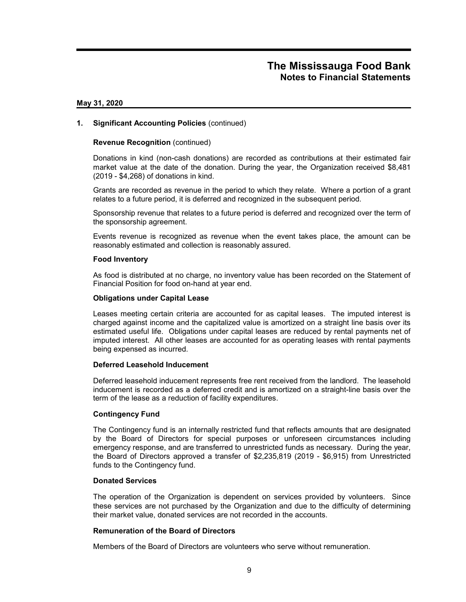#### May 31, 2020

#### 1. Significant Accounting Policies (continued)

#### **Revenue Recognition (continued)**

Donations in kind (non-cash donations) are recorded as contributions at their estimated fair market value at the date of the donation. During the year, the Organization received \$8,481 (2019 - \$4,268) of donations in kind.

Grants are recorded as revenue in the period to which they relate. Where a portion of a grant relates to a future period, it is deferred and recognized in the subsequent period.

Sponsorship revenue that relates to a future period is deferred and recognized over the term of the sponsorship agreement.

Events revenue is recognized as revenue when the event takes place, the amount can be reasonably estimated and collection is reasonably assured.

#### **Food Inventory**

As food is distributed at no charge, no inventory value has been recorded on the Statement of Financial Position for food on-hand at year end.

#### **Obligations under Capital Lease**

Leases meeting certain criteria are accounted for as capital leases. The imputed interest is charged against income and the capitalized value is amortized on a straight line basis over its estimated useful life. Obligations under capital leases are reduced by rental payments net of imputed interest. All other leases are accounted for as operating leases with rental payments being expensed as incurred.

#### **Deferred Leasehold Inducement**

Deferred leasehold inducement represents free rent received from the landlord. The leasehold inducement is recorded as a deferred credit and is amortized on a straight-line basis over the term of the lease as a reduction of facility expenditures.

#### **Contingency Fund**

The Contingency fund is an internally restricted fund that reflects amounts that are designated by the Board of Directors for special purposes or unforeseen circumstances including emergency response, and are transferred to unrestricted funds as necessary. During the year, the Board of Directors approved a transfer of \$2,235,819 (2019 - \$6,915) from Unrestricted funds to the Contingency fund.

#### **Donated Services**

The operation of the Organization is dependent on services provided by volunteers. Since these services are not purchased by the Organization and due to the difficulty of determining their market value, donated services are not recorded in the accounts.

#### **Remuneration of the Board of Directors**

Members of the Board of Directors are volunteers who serve without remuneration.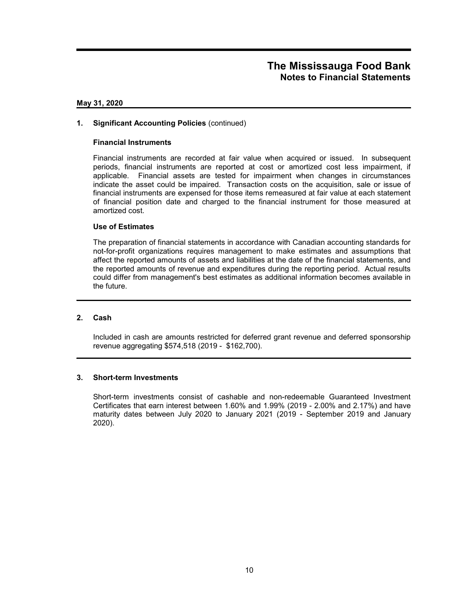#### May 31, 2020

#### 1. Significant Accounting Policies (continued)

#### **Financial Instruments**

Financial instruments are recorded at fair value when acquired or issued. In subsequent periods, financial instruments are reported at cost or amortized cost less impairment, if applicable. Financial assets are tested for impairment when changes in circumstances indicate the asset could be impaired. Transaction costs on the acquisition, sale or issue of financial instruments are expensed for those items remeasured at fair value at each statement of financial position date and charged to the financial instrument for those measured at amortized cost.

#### **Use of Estimates**

The preparation of financial statements in accordance with Canadian accounting standards for not-for-profit organizations requires management to make estimates and assumptions that affect the reported amounts of assets and liabilities at the date of the financial statements, and the reported amounts of revenue and expenditures during the reporting period. Actual results could differ from management's best estimates as additional information becomes available in the future.

### 2. Cash

Included in cash are amounts restricted for deferred grant revenue and deferred sponsorship revenue aggregating \$574,518 (2019 - \$162,700).

#### $3<sub>1</sub>$ **Short-term Investments**

Short-term investments consist of cashable and non-redeemable Guaranteed Investment Certificates that earn interest between 1.60% and 1.99% (2019 - 2.00% and 2.17%) and have maturity dates between July 2020 to January 2021 (2019 - September 2019 and January 2020).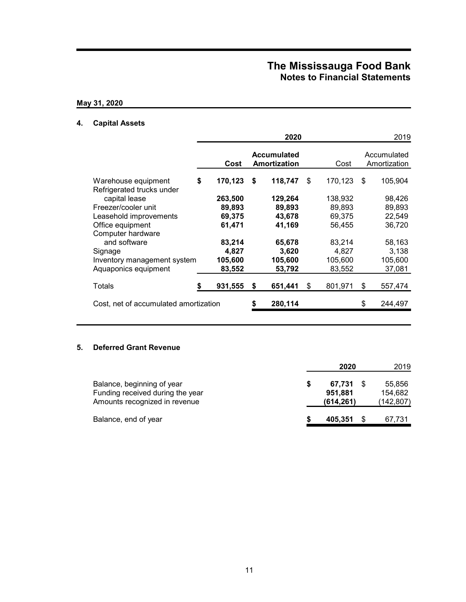### May 31, 2020

## 4. Capital Assets

|                                                  |               | 2020                               |               |    | 2019                        |
|--------------------------------------------------|---------------|------------------------------------|---------------|----|-----------------------------|
|                                                  | Cost          | <b>Accumulated</b><br>Amortization | Cost          |    | Accumulated<br>Amortization |
| Warehouse equipment<br>Refrigerated trucks under | \$<br>170,123 | \$<br>118,747                      | \$<br>170,123 | \$ | 105,904                     |
| capital lease                                    | 263,500       | 129,264                            | 138,932       |    | 98,426                      |
| Freezer/cooler unit                              | 89,893        | 89,893                             | 89,893        |    | 89,893                      |
| Leasehold improvements                           | 69,375        | 43,678                             | 69,375        |    | 22,549                      |
| Office equipment                                 | 61,471        | 41,169                             | 56,455        |    | 36,720                      |
| Computer hardware                                |               |                                    |               |    |                             |
| and software                                     | 83,214        | 65,678                             | 83,214        |    | 58,163                      |
| Signage                                          | 4,827         | 3,620                              | 4,827         |    | 3,138                       |
| Inventory management system                      | 105,600       | 105,600                            | 105,600       |    | 105,600                     |
| Aquaponics equipment                             | 83,552        | 53,792                             | 83,552        |    | 37,081                      |
| Totals                                           | 931,555       | \$<br>651,441                      | \$<br>801,971 | S  | 557,474                     |
| Cost, net of accumulated amortization            |               | \$<br>280,114                      |               | \$ | 244,497                     |

#### $5.$ **Deferred Grant Revenue**

|                                                                                                 | 2020                           | 2019                            |
|-------------------------------------------------------------------------------------------------|--------------------------------|---------------------------------|
| Balance, beginning of year<br>Funding received during the year<br>Amounts recognized in revenue | 67,731<br>951,881<br>(614,261) | 55,856<br>154.682<br>(142, 807) |
| Balance, end of year                                                                            | 405.351                        | 67.731                          |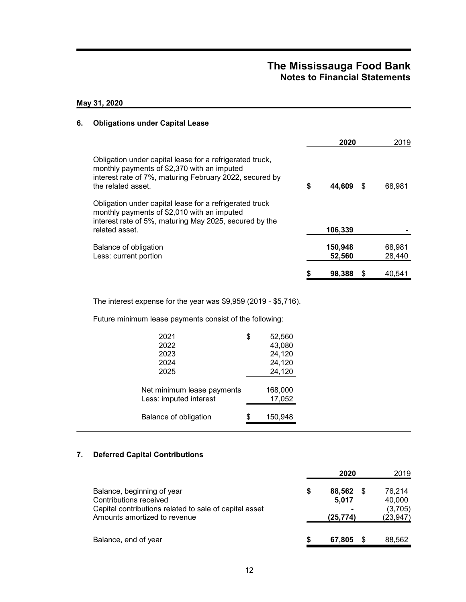### May 31, 2020

#### **Obligations under Capital Lease** 6.

|                                                                                                                                                                                          |    | 2020              | 2019 |                  |
|------------------------------------------------------------------------------------------------------------------------------------------------------------------------------------------|----|-------------------|------|------------------|
| Obligation under capital lease for a refrigerated truck,<br>monthly payments of \$2,370 with an imputed<br>interest rate of 7%, maturing February 2022, secured by<br>the related asset. | \$ | 44,609            | \$.  | 68.981           |
| Obligation under capital lease for a refrigerated truck<br>monthly payments of \$2,010 with an imputed<br>interest rate of 5%, maturing May 2025, secured by the<br>related asset.       |    | 106,339           |      |                  |
| Balance of obligation<br>Less: current portion                                                                                                                                           |    | 150,948<br>52,560 |      | 68,981<br>28,440 |
|                                                                                                                                                                                          |    | 98,388            |      | 40.541           |

The interest expense for the year was \$9,959 (2019 - \$5,716).

Future minimum lease payments consist of the following:

| 2021<br>2022<br>2023<br>2024<br>2025                 | \$ | 52,560<br>43,080<br>24,120<br>24,120<br>24,120 |
|------------------------------------------------------|----|------------------------------------------------|
| Net minimum lease payments<br>Less: imputed interest |    | 168,000<br>17,052                              |
| Balance of obligation                                | S  | 150,948                                        |

#### **Deferred Capital Contributions** 7.

|                                                                                                                                                |   | 2020                         | 2019                                    |
|------------------------------------------------------------------------------------------------------------------------------------------------|---|------------------------------|-----------------------------------------|
| Balance, beginning of year<br>Contributions received<br>Capital contributions related to sale of capital asset<br>Amounts amortized to revenue | S | 88,562<br>5,017<br>(25, 774) | 76,214<br>40,000<br>(3,705)<br>(23,947) |
| Balance, end of year                                                                                                                           | S | 67.805                       | 88,562                                  |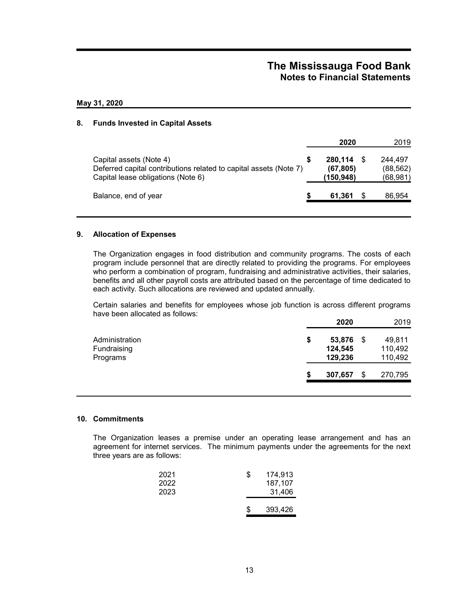#### May 31, 2020

#### 8. Funds Invested in Capital Assets

|                                                                                                                                    | 2020                              | 2019                              |
|------------------------------------------------------------------------------------------------------------------------------------|-----------------------------------|-----------------------------------|
| Capital assets (Note 4)<br>Deferred capital contributions related to capital assets (Note 7)<br>Capital lease obligations (Note 6) | 280,114<br>(67, 805)<br>(150,948) | 244.497<br>(88, 562)<br>(68, 981) |
| Balance, end of year                                                                                                               | 61.361                            | 86,954                            |

#### 9. Allocation of Expenses

The Organization engages in food distribution and community programs. The costs of each program include personnel that are directly related to providing the programs. For employees who perform a combination of program, fundraising and administrative activities, their salaries, benefits and all other payroll costs are attributed based on the percentage of time dedicated to each activity. Such allocations are reviewed and updated annually.

Certain salaries and benefits for employees whose job function is across different programs have been allocated as follows:

|                                           |    | 2020                         | 2019                               |
|-------------------------------------------|----|------------------------------|------------------------------------|
| Administration<br>Fundraising<br>Programs | \$ | 53,876<br>124,545<br>129,236 | \$<br>49,811<br>110,492<br>110,492 |
|                                           | S  | 307,657                      | \$<br>270,795                      |

#### 10. Commitments

The Organization leases a premise under an operating lease arrangement and has an agreement for internet services. The minimum payments under the agreements for the next three years are as follows:

| 2021<br>2022 | S  | 174.913<br>187.107 |
|--------------|----|--------------------|
| 2023         |    | 31,406             |
|              | S. | 393,426            |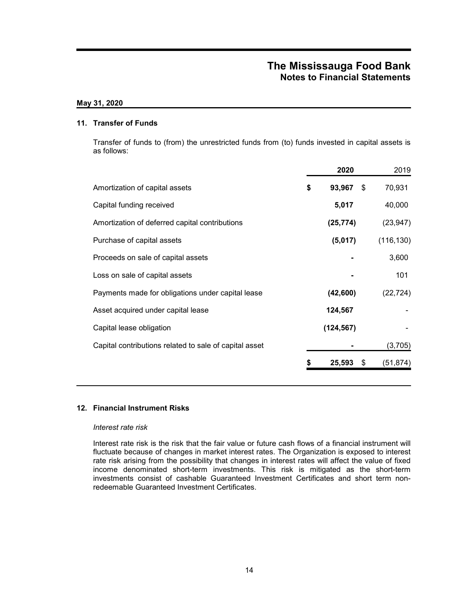#### May 31, 2020

### 11. Transfer of Funds

Transfer of funds to (from) the unrestricted funds from (to) funds invested in capital assets is as follows:

|                                                        | 2020               | 2019       |
|--------------------------------------------------------|--------------------|------------|
| Amortization of capital assets                         | \$<br>93,967<br>\$ | 70,931     |
| Capital funding received                               | 5,017              | 40,000     |
| Amortization of deferred capital contributions         | (25, 774)          | (23, 947)  |
| Purchase of capital assets                             | (5,017)            | (116, 130) |
| Proceeds on sale of capital assets                     |                    | 3,600      |
| Loss on sale of capital assets                         |                    | 101        |
| Payments made for obligations under capital lease      | (42,600)           | (22, 724)  |
| Asset acquired under capital lease                     | 124,567            |            |
| Capital lease obligation                               | (124, 567)         |            |
| Capital contributions related to sale of capital asset |                    | (3,705)    |
|                                                        | 25,593<br>\$       | (51, 874)  |
|                                                        |                    |            |

#### 12. Financial Instrument Risks

#### Interest rate risk

Interest rate risk is the risk that the fair value or future cash flows of a financial instrument will fluctuate because of changes in market interest rates. The Organization is exposed to interest rate risk arising from the possibility that changes in interest rates will affect the value of fixed income denominated short-term investments. This risk is mitigated as the short-term investments consist of cashable Guaranteed Investment Certificates and short term nonredeemable Guaranteed Investment Certificates.